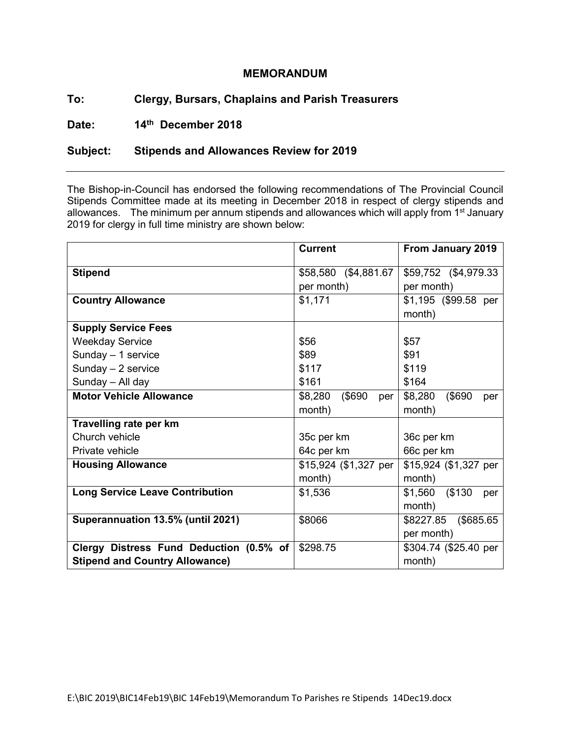## **MEMORANDUM**

## **To: Clergy, Bursars, Chaplains and Parish Treasurers**

**Date: 14th December 2018**

## **Subject: Stipends and Allowances Review for 2019**

The Bishop-in-Council has endorsed the following recommendations of The Provincial Council Stipends Committee made at its meeting in December 2018 in respect of clergy stipends and allowances. The minimum per annum stipends and allowances which will apply from 1<sup>st</sup> January 2019 for clergy in full time ministry are shown below:

|                                         | <b>Current</b>           | From January 2019        |
|-----------------------------------------|--------------------------|--------------------------|
| <b>Stipend</b>                          | \$58,580 (\$4,881.67     | \$59,752 (\$4,979.33)    |
|                                         | per month)               | per month)               |
| <b>Country Allowance</b>                | \$1,171                  | \$1,195 (\$99.58 per     |
|                                         |                          | month)                   |
| <b>Supply Service Fees</b>              |                          |                          |
| <b>Weekday Service</b>                  | \$56                     | \$57                     |
| Sunday - 1 service                      | \$89                     | \$91                     |
| Sunday $-2$ service                     | \$117                    | \$119                    |
| Sunday - All day                        | \$161                    | \$164                    |
| <b>Motor Vehicle Allowance</b>          | (\$690<br>\$8,280<br>per | \$8,280<br>(\$690<br>per |
|                                         | month)                   | month)                   |
| Travelling rate per km                  |                          |                          |
| Church vehicle                          | 35c per km               | 36c per km               |
| Private vehicle                         | 64c per km               | 66c per km               |
| <b>Housing Allowance</b>                | $$15,924$ (\$1,327 per   | \$15,924 (\$1,327 per    |
|                                         | month)                   | month)                   |
| <b>Long Service Leave Contribution</b>  | \$1,536                  | \$1,560 (\$130)<br>per   |
|                                         |                          | month)                   |
| Superannuation 13.5% (until 2021)       | \$8066                   | \$8227.85 (\$685.65      |
|                                         |                          | per month)               |
| Clergy Distress Fund Deduction (0.5% of | \$298.75                 | \$304.74 (\$25.40 per    |
| <b>Stipend and Country Allowance)</b>   |                          | month)                   |